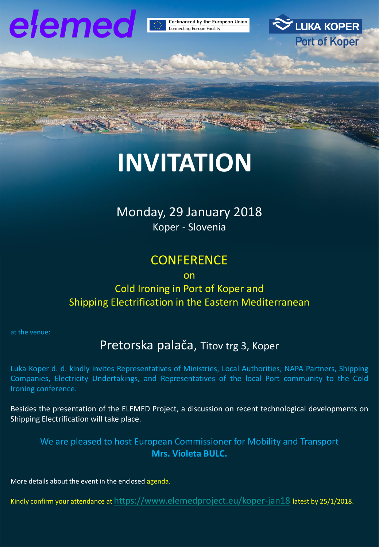

Co-financed by the European Union Connecting Europe Facility



# **INVITATION**

# Monday, 29 January 2018

Koper - Slovenia

# **CONFERENCE**

#### on

### Cold Ironing in Port of Koper and Shipping Electrification in the Eastern Mediterranean

at the venue:

## Pretorska palača, Titov trg 3, Koper

Luka Koper d. d. kindly invites Representatives of Ministries, Local Authorities, NAPA Partners, Shipping Companies, Electricity Undertakings, and Representatives of the local Port community to the Cold Ironing conference.

Besides the presentation of the ELEMED Project, a discussion on recent technological developments on Shipping Electrification will take place.

We are pleased to host European Commissioner for Mobility and Transport **Mrs. Violeta BULC.**

More details about the event in the enclosed agenda.

Kindly confirm your attendance at <https://www.elemedproject.eu/koper-jan18> latest by 25/1/2018.